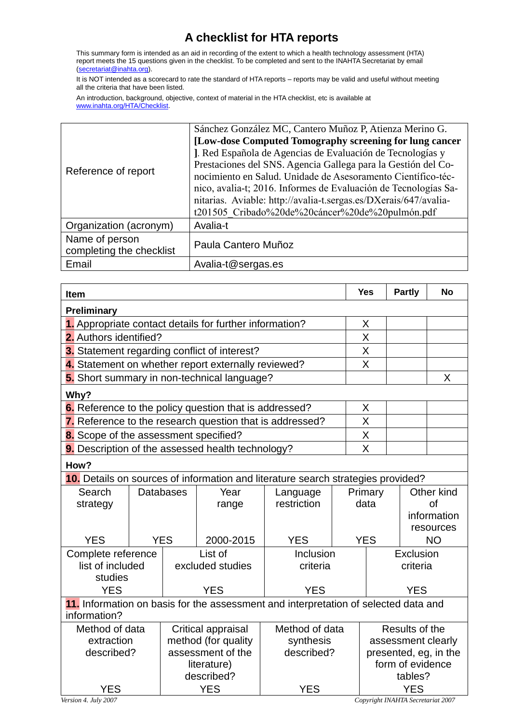## **A checklist for HTA reports**

This summary form is intended as an aid in recording of the extent to which a health technology assessment (HTA) report meets the 15 questions given in the checklist. To be completed and sent to the INAHTA Secretariat by email [\(secretariat@inahta.org\)](mailto:secretariat@inahta.org).

It is NOT intended as a scorecard to rate the standard of HTA reports – reports may be valid and useful without meeting all the criteria that have been listed.

An introduction, background, objective, context of material in the HTA checklist, etc is available at [www.inahta.org/HTA/Checklist.](http://www.inahta.org/HTA/Checklist)

| Reference of report                        | Sánchez González MC, Cantero Muñoz P, Atienza Merino G.          |
|--------------------------------------------|------------------------------------------------------------------|
|                                            | [Low-dose Computed Tomography screening for lung cancer          |
|                                            | J. Red Española de Agencias de Evaluación de Tecnologías y       |
|                                            | Prestaciones del SNS. Agencia Gallega para la Gestión del Co-    |
|                                            | nocimiento en Salud. Unidade de Asesoramento Científico-téc-     |
|                                            | nico, avalia-t; 2016. Informes de Evaluación de Tecnologías Sa-  |
|                                            | nitarias. Aviable: http://avalia-t.sergas.es/DXerais/647/avalia- |
|                                            | t201505 Cribado%20de%20cáncer%20de%20pulmón.pdf                  |
| Organization (acronym)                     | Avalia-t                                                         |
| Name of person<br>completing the checklist | Paula Cantero Muñoz                                              |
| Email                                      | Avalia-t@sergas.es                                               |

| <b>Item</b>                                             |                  |                                  |                                                                 |                                                                                     |         | <b>Yes</b>                                | <b>Partly</b> | <b>No</b>              |
|---------------------------------------------------------|------------------|----------------------------------|-----------------------------------------------------------------|-------------------------------------------------------------------------------------|---------|-------------------------------------------|---------------|------------------------|
| Preliminary                                             |                  |                                  |                                                                 |                                                                                     |         |                                           |               |                        |
| 1. Appropriate contact details for further information? |                  |                                  |                                                                 |                                                                                     |         | X                                         |               |                        |
| 2. Authors identified?                                  |                  |                                  |                                                                 |                                                                                     |         | X                                         |               |                        |
|                                                         |                  |                                  | 3. Statement regarding conflict of interest?                    |                                                                                     |         | X                                         |               |                        |
|                                                         |                  |                                  | 4. Statement on whether report externally reviewed?             |                                                                                     |         | X                                         |               |                        |
| 5. Short summary in non-technical language?             |                  |                                  |                                                                 |                                                                                     |         |                                           |               | X                      |
| Why?                                                    |                  |                                  |                                                                 |                                                                                     |         |                                           |               |                        |
|                                                         |                  |                                  | 6. Reference to the policy question that is addressed?          |                                                                                     |         | X                                         |               |                        |
|                                                         |                  |                                  | <b>7.</b> Reference to the research question that is addressed? |                                                                                     |         | X                                         |               |                        |
| 8. Scope of the assessment specified?                   |                  |                                  |                                                                 |                                                                                     |         | X                                         |               |                        |
| 9. Description of the assessed health technology?       |                  |                                  |                                                                 |                                                                                     |         | X                                         |               |                        |
| How?                                                    |                  |                                  |                                                                 |                                                                                     |         |                                           |               |                        |
|                                                         |                  |                                  |                                                                 | 10. Details on sources of information and literature search strategies provided?    |         |                                           |               |                        |
| Search                                                  | <b>Databases</b> |                                  | Year                                                            | Language                                                                            |         | Primary                                   |               | Other kind             |
| strategy                                                |                  |                                  | range                                                           | restriction                                                                         |         | data                                      |               | <b>of</b>              |
|                                                         |                  |                                  |                                                                 |                                                                                     |         |                                           |               | information            |
| <b>YES</b>                                              |                  | <b>YES</b>                       | 2000-2015                                                       | <b>YES</b>                                                                          |         | <b>YES</b>                                |               | resources<br><b>NO</b> |
|                                                         |                  |                                  | List of                                                         | Inclusion                                                                           |         | Exclusion                                 |               |                        |
| Complete reference<br>list of included                  |                  | excluded studies                 |                                                                 | criteria                                                                            |         | criteria                                  |               |                        |
| studies                                                 |                  |                                  |                                                                 |                                                                                     |         |                                           |               |                        |
| <b>YES</b>                                              |                  |                                  | <b>YES</b><br><b>YES</b>                                        |                                                                                     |         | <b>YES</b>                                |               |                        |
|                                                         |                  |                                  |                                                                 | 11. Information on basis for the assessment and interpretation of selected data and |         |                                           |               |                        |
| information?                                            |                  |                                  |                                                                 |                                                                                     |         |                                           |               |                        |
| Method of data                                          |                  | Critical appraisal               |                                                                 | Method of data                                                                      |         | Results of the                            |               |                        |
| extraction                                              |                  | method (for quality              |                                                                 | synthesis<br>described?                                                             |         | assessment clearly                        |               |                        |
| described?                                              |                  | assessment of the<br>literature) |                                                                 |                                                                                     |         | presented, eg, in the<br>form of evidence |               |                        |
|                                                         |                  | described?                       |                                                                 |                                                                                     | tables? |                                           |               |                        |
| <b>YES</b>                                              |                  | <b>YES</b>                       |                                                                 | <b>YES</b>                                                                          |         | <b>YES</b>                                |               |                        |

*Version 4. July 2007 Copyright INAHTA Secretariat 2007*